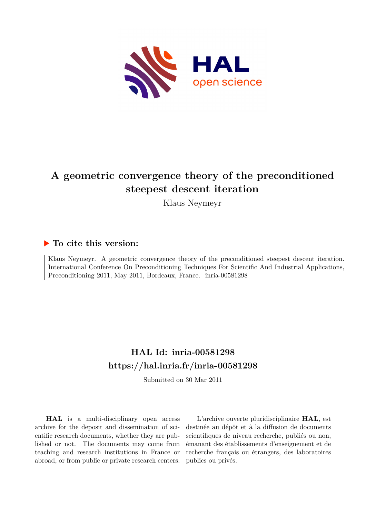

# **A geometric convergence theory of the preconditioned steepest descent iteration**

Klaus Neymeyr

### **To cite this version:**

Klaus Neymeyr. A geometric convergence theory of the preconditioned steepest descent iteration. International Conference On Preconditioning Techniques For Scientific And Industrial Applications, Preconditioning 2011, May 2011, Bordeaux, France. inria-00581298

## **HAL Id: inria-00581298 <https://hal.inria.fr/inria-00581298>**

Submitted on 30 Mar 2011

**HAL** is a multi-disciplinary open access archive for the deposit and dissemination of scientific research documents, whether they are published or not. The documents may come from teaching and research institutions in France or abroad, or from public or private research centers.

L'archive ouverte pluridisciplinaire **HAL**, est destinée au dépôt et à la diffusion de documents scientifiques de niveau recherche, publiés ou non, émanant des établissements d'enseignement et de recherche français ou étrangers, des laboratoires publics ou privés.